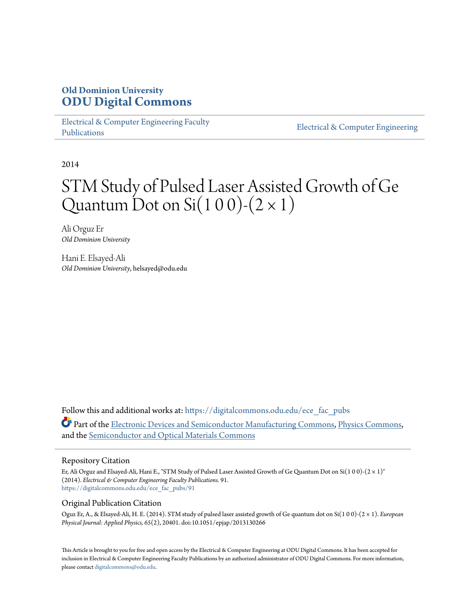### **Old Dominion University [ODU Digital Commons](https://digitalcommons.odu.edu?utm_source=digitalcommons.odu.edu%2Fece_fac_pubs%2F91&utm_medium=PDF&utm_campaign=PDFCoverPages)**

[Electrical & Computer Engineering Faculty](https://digitalcommons.odu.edu/ece_fac_pubs?utm_source=digitalcommons.odu.edu%2Fece_fac_pubs%2F91&utm_medium=PDF&utm_campaign=PDFCoverPages) [Publications](https://digitalcommons.odu.edu/ece_fac_pubs?utm_source=digitalcommons.odu.edu%2Fece_fac_pubs%2F91&utm_medium=PDF&utm_campaign=PDFCoverPages)

[Electrical & Computer Engineering](https://digitalcommons.odu.edu/ece?utm_source=digitalcommons.odu.edu%2Fece_fac_pubs%2F91&utm_medium=PDF&utm_campaign=PDFCoverPages)

2014

# STM Study of Pulsed Laser Assisted Growth of Ge Quantum Dot on Si $(1 0 0)$ - $(2 \times 1)$

Ali Orguz Er *Old Dominion University*

Hani E. Elsayed-Ali *Old Dominion University*, helsayed@odu.edu

Follow this and additional works at: [https://digitalcommons.odu.edu/ece\\_fac\\_pubs](https://digitalcommons.odu.edu/ece_fac_pubs?utm_source=digitalcommons.odu.edu%2Fece_fac_pubs%2F91&utm_medium=PDF&utm_campaign=PDFCoverPages) Part of the [Electronic Devices and Semiconductor Manufacturing Commons](http://network.bepress.com/hgg/discipline/272?utm_source=digitalcommons.odu.edu%2Fece_fac_pubs%2F91&utm_medium=PDF&utm_campaign=PDFCoverPages), [Physics Commons,](http://network.bepress.com/hgg/discipline/193?utm_source=digitalcommons.odu.edu%2Fece_fac_pubs%2F91&utm_medium=PDF&utm_campaign=PDFCoverPages) and the [Semiconductor and Optical Materials Commons](http://network.bepress.com/hgg/discipline/290?utm_source=digitalcommons.odu.edu%2Fece_fac_pubs%2F91&utm_medium=PDF&utm_campaign=PDFCoverPages)

#### Repository Citation

Er, Ali Orguz and Elsayed-Ali, Hani E., "STM Study of Pulsed Laser Assisted Growth of Ge Quantum Dot on Si(1 0 0)-(2 × 1)" (2014). *Electrical & Computer Engineering Faculty Publications*. 91. [https://digitalcommons.odu.edu/ece\\_fac\\_pubs/91](https://digitalcommons.odu.edu/ece_fac_pubs/91?utm_source=digitalcommons.odu.edu%2Fece_fac_pubs%2F91&utm_medium=PDF&utm_campaign=PDFCoverPages)

#### Original Publication Citation

Oguz Er, A., & Elsayed-Ali, H. E. (2014). STM study of pulsed laser assisted growth of Ge quantum dot on Si(1 0 0)-(2 × 1). *European Physical Journal: Applied Physics, 65*(2), 20401. doi:10.1051/epjap/2013130266

This Article is brought to you for free and open access by the Electrical & Computer Engineering at ODU Digital Commons. It has been accepted for inclusion in Electrical & Computer Engineering Faculty Publications by an authorized administrator of ODU Digital Commons. For more information, please contact [digitalcommons@odu.edu](mailto:digitalcommons@odu.edu).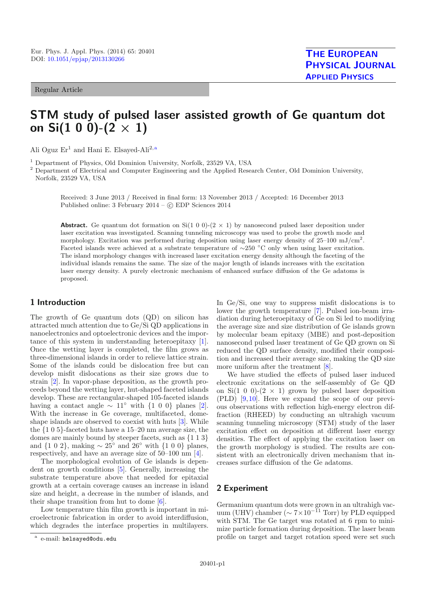#### Regular Article

## **STM study of pulsed laser assisted growth of Ge quantum dot on Si(1 0 0)-(2** *×* **1)**

Ali Oguz  $Er^1$  and Hani E. Elsayed-Ali<sup>2, a</sup>

<sup>1</sup> Department of Physics, Old Dominion University, Norfolk, 23529 VA, USA

<sup>2</sup> Department of Electrical and Computer Engineering and the Applied Research Center, Old Dominion University, Norfolk, 23529 VA, USA

Received: 3 June 2013 / Received in final form: 13 November 2013 / Accepted: 16 December 2013 Published online: 3 February 2014 – © EDP Sciences 2014

**Abstract.** Ge quantum dot formation on  $Si(1\ 0\ 0)$ - $(2 \times 1)$  by nanosecond pulsed laser deposition under laser excitation was investigated. Scanning tunneling microscopy was used to probe the growth mode and morphology. Excitation was performed during deposition using laser energy density of  $25-100 \text{ mJ/cm}^2$ . Faceted islands were achieved at a substrate temperature of ∼250 ◦C only when using laser excitation. The island morphology changes with increased laser excitation energy density although the faceting of the individual islands remains the same. The size of the major length of islands increases with the excitation laser energy density. A purely electronic mechanism of enhanced surface diffusion of the Ge adatoms is proposed.

#### **1 Introduction**

The growth of Ge quantum dots (QD) on silicon has attracted much attention due to Ge/Si QD applications in nanoelectronics and optoelectronic devices and the importance of this system in understanding heteroepitaxy [\[1\]](#page-6-0). Once the wetting layer is completed, the film grows as three-dimensional islands in order to relieve lattice strain. Some of the islands could be dislocation free but can develop misfit dislocations as their size grows due to strain [\[2\]](#page-6-1). In vapor-phase deposition, as the growth proceeds beyond the wetting layer, hut-shaped faceted islands develop. These are rectangular-shaped 105-faceted islands having a contact angle  $\sim 11°$  with {1 0 0} planes [\[2\]](#page-6-1). With the increase in Ge coverage, multifaceted, domeshape islands are observed to coexist with huts [\[3](#page-6-2)]. While the {105}-faceted huts have a 15–20 nm average size, the domes are mainly bound by steeper facets, such as {113} and  $\{1\ 0\ 2\}$ , making  $\sim 25^{\circ}$  and  $26^{\circ}$  with  $\{1\ 0\ 0\}$  planes, respectively, and have an average size of 50–100 nm [\[4\]](#page-6-3).

The morphological evolution of Ge islands is dependent on growth conditions [\[5\]](#page-6-4). Generally, increasing the substrate temperature above that needed for epitaxial growth at a certain coverage causes an increase in island size and height, a decrease in the number of islands, and their shape transition from hut to dome [\[6](#page-6-5)].

Low temperature thin film growth is important in microelectronic fabrication in order to avoid interdiffusion, which degrades the interface properties in multilayers. In Ge/Si, one way to suppress misfit dislocations is to lower the growth temperature [\[7\]](#page-6-6). Pulsed ion-beam irradiation during heteroepitaxy of Ge on Si led to modifying the average size and size distribution of Ge islands grown by molecular beam epitaxy (MBE) and post-deposition nanosecond pulsed laser treatment of Ge QD grown on Si reduced the QD surface density, modified their composition and increased their average size, making the QD size more uniform after the treatment [\[8\]](#page-6-7).

We have studied the effects of pulsed laser induced electronic excitations on the self-assembly of Ge QD on Si(1 0 0)-(2  $\times$  1) grown by pulsed laser deposition (PLD) [\[9](#page-6-8),[10\]](#page-6-9). Here we expand the scope of our previous observations with reflection high-energy electron diffraction (RHEED) by conducting an ultrahigh vacuum scanning tunneling microscopy (STM) study of the laser excitation effect on deposition at different laser energy densities. The effect of applying the excitation laser on the growth morphology is studied. The results are consistent with an electronically driven mechanism that increases surface diffusion of the Ge adatoms.

#### **2 Experiment**

Germanium quantum dots were grown in an ultrahigh vacuum (UHV) chamber ( $\sim 7 \times 10^{-11}$  Torr) by PLD equipped with STM. The Ge target was rotated at 6 rpm to minimize particle formation during deposition. The laser beam profile on target and target rotation speed were set such

<sup>a</sup> e-mail: helsayed@odu.edu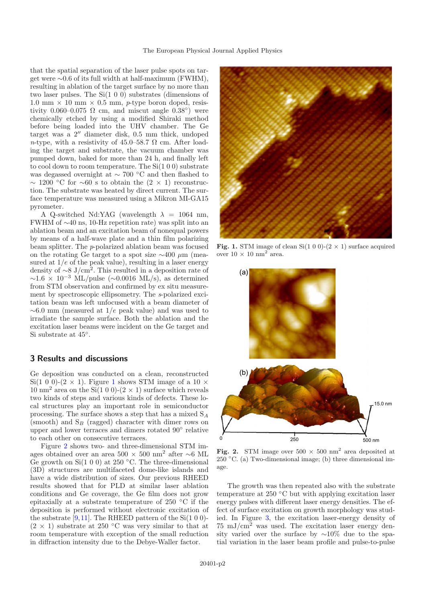that the spatial separation of the laser pulse spots on target were ∼0.6 of its full width at half-maximum (FWHM), resulting in ablation of the target surface by no more than two laser pulses. The Si(1 0 0) substrates (dimensions of 1.0 mm  $\times$  10 mm  $\times$  0.5 mm, *p*-type boron doped, resistivity 0.060–0.075  $\Omega$  cm, and miscut angle 0.38°) were chemically etched by using a modified Shiraki method before being loaded into the UHV chamber. The Ge target was a  $2''$  diameter disk,  $0.5$  mm thick, undoped *n*-type, with a resistivity of 45.0–58.7  $\Omega$  cm. After loading the target and substrate, the vacuum chamber was pumped down, baked for more than 24 h, and finally left to cool down to room temperature. The Si(1 0 0) substrate was degassed overnight at ∼ 700 ◦C and then flashed to  $\sim$  1200 °C for ∼60 s to obtain the  $(2 \times 1)$  reconstruction. The substrate was heated by direct current. The surface temperature was measured using a Mikron MI-GA15 pyrometer.

A Q-switched Nd:YAG (wavelength  $\lambda = 1064$  nm, FWHM of ∼40 ns, 10-Hz repetition rate) was split into an ablation beam and an excitation beam of nonequal powers by means of a half-wave plate and a thin film polarizing beam splitter. The *p*-polarized ablation beam was focused on the rotating Ge target to a spot size  $\sim$ 400 µm (measured at  $1/e$  of the peak value), resulting in a laser energy density of <sup>∼</sup>8 J/cm<sup>2</sup>. This resulted in a deposition rate of  $\sim$ 1.6 × 10<sup>-3</sup> ML/pulse (∼0.0016 ML/s), as determined from STM observation and confirmed by ex situ measurement by spectroscopic ellipsometry. The *s*-polarized excitation beam was left unfocused with a beam diameter of  $~\sim 6.0$  mm (measured at 1/e peak value) and was used to irradiate the sample surface. Both the ablation and the excitation laser beams were incident on the Ge target and Si substrate at 45◦.

#### **3 Results and discussions**

Ge deposition was conducted on a clean, reconstructed Si([1](#page-2-0) 0 0)-(2  $\times$  1). Figure 1 shows STM image of a 10  $\times$ 10 nm<sup>2</sup> area on the Si(1 0 0)-(2  $\times$  1) surface which reveals two kinds of steps and various kinds of defects. These local structures play an important role in semiconductor processing. The surface shows a step that has a mixed S*<sup>A</sup>* (smooth) and S*<sup>B</sup>* (ragged) character with dimer rows on upper and lower terraces and dimers rotated 90◦ relative to each other on consecutive terraces.

Figure [2](#page-2-1) shows two- and three-dimensional STM images obtained over an area 500 <sup>×</sup> 500 nm<sup>2</sup> after <sup>∼</sup>6 ML Ge growth on Si(1 0 0) at 250  $\degree$ C. The three-dimensional (3D) structures are multifaceted dome-like islands and have a wide distribution of sizes. Our previous RHEED results showed that for PLD at similar laser ablation conditions and Ge coverage, the Ge film does not grow epitaxially at a substrate temperature of 250 ◦C if the deposition is performed without electronic excitation of the substrate  $[9,11]$  $[9,11]$  $[9,11]$ . The RHEED pattern of the Si $(1\ 0\ 0)$ - $(2 \times 1)$  substrate at 250 °C was very similar to that at room temperature with exception of the small reduction in diffraction intensity due to the Debye-Waller factor.



**Fig. 1.** STM image of clean Si(1 0 0)-(2  $\times$  1) surface acquired over  $10 \times 10 \text{ nm}^2$  area.

<span id="page-2-0"></span>

<span id="page-2-1"></span>**Fig. 2.** STM image over  $500 \times 500$  nm<sup>2</sup> area deposited at 250  $^{\circ}$ C. (a) Two-dimensional image; (b) three dimensional image.

The growth was then repeated also with the substrate temperature at 250 ◦C but with applying excitation laser energy pulses with different laser energy densities. The effect of surface excitation on growth morphology was studied. In Figure [3,](#page-3-0) the excitation laser-energy density of  $75 \text{ mJ/cm}^2$  was used. The excitation laser energy density varied over the surface by ∼10% due to the spatial variation in the laser beam profile and pulse-to-pulse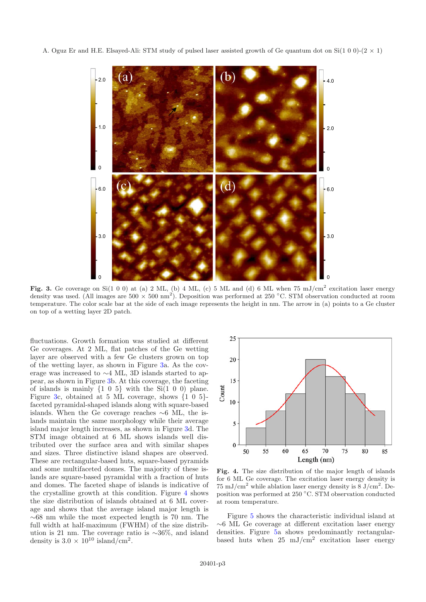A. Oguz Er and H.E. Elsayed-Ali: STM study of pulsed laser assisted growth of Ge quantum dot on Si(1 0 0)-(2  $\times$  1)



<span id="page-3-0"></span>Fig. 3. Ge coverage on Si(1 0 0) at (a) 2 ML, (b) 4 ML, (c) 5 ML and (d) 6 ML when 75 mJ/cm<sup>2</sup> excitation laser energy density was used. (All images are  $500 \times 500 \text{ nm}^2$ ). Deposition was performed at 250 °C. STM observation conducted at room temperature. The color scale bar at the side of each image represents the height in nm. The arrow in (a) points to a Ge cluster on top of a wetting layer 2D patch.

fluctuations. Growth formation was studied at different Ge coverages. At 2 ML, flat patches of the Ge wetting layer are observed with a few Ge clusters grown on top of the wetting layer, as shown in Figure [3a](#page-3-0). As the coverage was increased to ∼4 ML, 3D islands started to appear, as shown in Figure [3b](#page-3-0). At this coverage, the faceting of islands is mainly  $\{1\ 0\ 5\}$  with the Si(1 0 0) plane. Figure [3c](#page-3-0), obtained at 5 ML coverage, shows  $\{1\ 0\ 5\}$ faceted pyramidal-shaped islands along with square-based islands. When the Ge coverage reaches ∼6 ML, the islands maintain the same morphology while their average island major length increases, as shown in Figure [3d](#page-3-0). The STM image obtained at 6 ML shows islands well distributed over the surface area and with similar shapes and sizes. Three distinctive island shapes are observed. These are rectangular-based huts, square-based pyramids and some multifaceted domes. The majority of these islands are square-based pyramidal with a fraction of huts and domes. The faceted shape of islands is indicative of the crystalline growth at this condition. Figure [4](#page-3-1) shows the size distribution of islands obtained at 6 ML coverage and shows that the average island major length is ∼68 nm while the most expected length is 70 nm. The full width at half-maximum (FWHM) of the size distribution is 21 nm. The coverage ratio is ∼36%, and island density is  $3.0 \times 10^{10}$  island/cm<sup>2</sup>.



<span id="page-3-1"></span>**Fig. 4.** The size distribution of the major length of islands for 6 ML Ge coverage. The excitation laser energy density is 75 mJ/cm<sup>2</sup> while ablation laser energy density is  $8 \text{ J/cm}^2$ . Deposition was performed at 250 ◦C. STM observation conducted at room temperature.

Figure [5](#page-4-0) shows the characteristic individual island at ∼6 ML Ge coverage at different excitation laser energy densities. Figure [5a](#page-4-0) shows predominantly rectangularbased huts when  $25 \text{ mJ/cm}^2$  excitation laser energy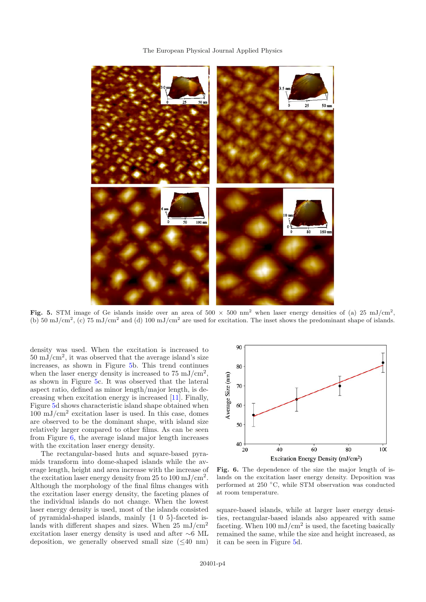#### The European Physical Journal Applied Physics



<span id="page-4-0"></span>Fig. 5. STM image of Ge islands inside over an area of  $500 \times 500$  nm<sup>2</sup> when laser energy densities of (a) 25 mJ/cm<sup>2</sup>, (b) 50 mJ/cm<sup>2</sup>, (c) 75 mJ/cm<sup>2</sup> and (d) 100 mJ/cm<sup>2</sup> are used for excitation. The inset shows the predominant shape of islands.

density was used. When the excitation is increased to  $50 \text{ mJ/cm}^2$ , it was observed that the average island's size increases, as shown in Figure [5b](#page-4-0). This trend continues when the laser energy density is increased to  $75 \text{ mJ/cm}^2$ . as shown in Figure [5c](#page-4-0). It was observed that the lateral aspect ratio, defined as minor length/major length, is decreasing when excitation energy is increased [\[11](#page-6-10)]. Finally, Figure [5d](#page-4-0) shows characteristic island shape obtained when  $100 \text{ mJ/cm}^2$  excitation laser is used. In this case, domes are observed to be the dominant shape, with island size relatively larger compared to other films. As can be seen from Figure [6,](#page-4-1) the average island major length increases with the excitation laser energy density.

The rectangular-based huts and square-based pyramids transform into dome-shaped islands while the average length, height and area increase with the increase of the excitation laser energy density from 25 to 100 mJ/cm<sup>2</sup>. Although the morphology of the final films changes with the excitation laser energy density, the faceting planes of the individual islands do not change. When the lowest laser energy density is used, most of the islands consisted of pyramidal-shaped islands, mainly {105}-faceted islands with different shapes and sizes. When  $25 \text{ mJ/cm}^2$ excitation laser energy density is used and after ∼6 ML deposition, we generally observed small size  $( $40 \text{ nm}$ )$ 



<span id="page-4-1"></span>**Fig. 6.** The dependence of the size the major length of islands on the excitation laser energy density. Deposition was performed at 250 ◦C, while STM observation was conducted at room temperature.

square-based islands, while at larger laser energy densities, rectangular-based islands also appeared with same faceting. When  $100 \text{ mJ/cm}^2$  is used, the faceting basically remained the same, while the size and height increased, as it can be seen in Figure [5d](#page-4-0).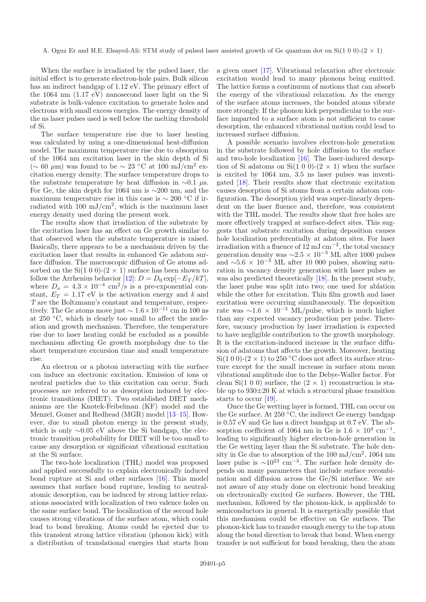When the surface is irradiated by the pulsed laser, the initial effect is to generate electron-hole pairs. Bulk silicon has an indirect bandgap of 1.12 eV. The primary effect of the 1064 nm (1.17 eV) nanosecond laser light on the Si substrate is bulk-valence excitation to generate holes and electrons with small excess energies. The energy density of the ns laser pulses used is well below the melting threshold of Si.

The surface temperature rise due to laser heating was calculated by using a one-dimensional heat-diffusion model. The maximum temperature rise due to absorption of the 1064 nm excitation laser in the skin depth of Si  $(\sim 60 \mu m)$  was found to be  $\sim 23$  °C at 100 mJ/cm<sup>2</sup> excitation energy density. The surface temperature drops to the substrate temperature by heat diffusion in  $\sim 0.1$  μs. For Ge, the skin depth for 1064 nm is ∼200 nm, and the maximum temperature rise in this case is  $\sim 200$  °C if irradiated with  $100 \text{ mJ/cm}^2$ , which is the maximum laser energy density used during the present work.

The results show that irradiation of the substrate by the excitation laser has an effect on Ge growth similar to that observed when the substrate temperature is raised. Basically, there appears to be a mechanism driven by the excitation laser that results in enhanced Ge adatom surface diffusion. The macroscopic diffusion of Ge atoms adsorbed on the Si(1 0 0)-(2  $\times$  1) surface has been shown to follow the Arrhenius behavior  $[12]$ :  $D = D_0 \exp[-E_T/kT]$ , where  $D_0 = 4.3 \times 10^{-4}$  cm<sup>2</sup>/s is a pre-exponential constant,  $E_T = 1.17$  eV is the activation energy and k and *T* are the Boltzmann's constant and temperature, respectively. The Ge atoms move just  $\sim 1.6 \times 10^{-11}$  cm in 100 ns at 250 ◦C, which is clearly too small to affect the nucleation and growth mechanism. Therefore, the temperature rise due to laser heating could be excluded as a possible mechanism affecting Ge growth morphology due to the short temperature excursion time and small temperature rise.

An electron or a photon interacting with the surface can induce an electronic excitation. Emission of ions or neutral particles due to this excitation can occur. Such processes are referred to as desorption induced by electronic transitions (DIET). Two established DIET mechanisms are the Knotek-Feibelman (KF) model and the Menzel, Gomer and Redhead (MGR) model [\[13](#page-6-12)[–15\]](#page-6-13). However, due to small photon energy in the present study, which is only ∼0.05 eV above the Si bandgap, the electronic transition probability for DIET will be too small to cause any desorption or significant vibrational excitation at the Si surface.

The two-hole localization (THL) model was proposed and applied successfully to explain electronically induced bond rupture at Si and other surfaces [\[16](#page-6-14)]. This model assumes that surface bond rupture, leading to neutralatomic desorption, can be induced by strong lattice relaxations associated with localization of two valence holes on the same surface bond. The localization of the second hole causes strong vibrations of the surface atom, which could lead to bond breaking. Atoms could be ejected due to this transient strong lattice vibration (phonon kick) with a distribution of translational energies that starts from a given onset [\[17](#page-6-15)]. Vibrational relaxation after electronic excitation would lead to many phonons being emitted. The lattice forms a continuum of motions that can absorb the energy of the vibrational relaxation. As the energy of the surface atoms increases, the bonded atoms vibrate more strongly. If the phonon kick perpendicular to the surface imparted to a surface atom is not sufficient to cause desorption, the enhanced vibrational motion could lead to increased surface diffusion.

A possible scenario involves electron-hole generation in the substrate followed by hole diffusion to the surface and two-hole localization [\[16](#page-6-14)]. The laser-induced desorption of Si adatoms on Si(1 0 0)-(2  $\times$  1) when the surface is excited by 1064 nm, 3.5 ns laser pulses was investigated [\[18\]](#page-6-16). Their results show that electronic excitation causes desorption of Si atoms from a certain adatom configuration. The desorption yield was super-linearly dependent on the laser fluence and, therefore, was consistent with the THL model. The results show that free holes are more effectively trapped at surface-defect sites. This suggests that substrate excitation during deposition causes hole localization preferentially at adatom sites. For laser irradiation with a fluence of  $12 \text{ mJ cm}^{-2}$ , the total vacancy generation density was  $\sim$ 2.5 × 10<sup>-3</sup> ML after 1000 pulses and  $\sim 5.6 \times 10^{-3}$  ML after 10 000 pulses, showing saturation in vacancy density generation with laser pulses as was also predicted theoretically [\[18](#page-6-16)]. In the present study, the laser pulse was split into two; one used for ablation while the other for excitation. Thin film growth and laser excitation were occurring simultaneously. The deposition rate was  $\sim$ 1.6 × 10<sup>-3</sup> ML/pulse, which is much higher than any expected vacancy production per pulse. Therefore, vacancy production by laser irradiation is expected to have negligible contribution to the growth morphology. It is the excitation-induced increase in the surface diffusion of adatoms that affects the growth. Moreover, heating Si(1 0 0)-(2  $\times$  1) to 250 °C does not affect its surface structure except for the small increase in surface atom mean vibrational amplitude due to the Debye-Waller factor. For clean Si(1 0 0) surface, the  $(2 \times 1)$  reconstruction is stable up to  $930\pm20$  K at which a structural phase transition starts to occur [\[19](#page-6-17)].

Once the Ge wetting layer is formed, THL can occur on the Ge surface. At 250 ◦C, the indirect Ge energy bandgap is 0.57 eV and Ge has a direct bandgap at 0.7 eV. The absorption coefficient of 1064 nm in Ge is  $1.6 \times 10^4$  cm<sup>-1</sup>, leading to significantly higher electron-hole generation in the Ge wetting layer than the Si substrate. The hole density in Ge due to absorption of the  $100 \text{ mJ/cm}^2$ ,  $1064 \text{ nm}$ laser pulse is  $\sim 10^{23}$  cm<sup>-3</sup>. The surface hole density depends on many parameters that include surface recombination and diffusion across the Ge/Si interface. We are not aware of any study done on electronic bond breaking on electronically excited Ge surfaces. However, the THL mechanism, followed by the phonon-kick, is applicable to semiconductors in general. It is energetically possible that this mechanism could be effective on Ge surfaces. The phonon-kick has to transfer enough energy to the top atom along the bond direction to break that bond. When energy transfer is not sufficient for bond breaking, then the atom